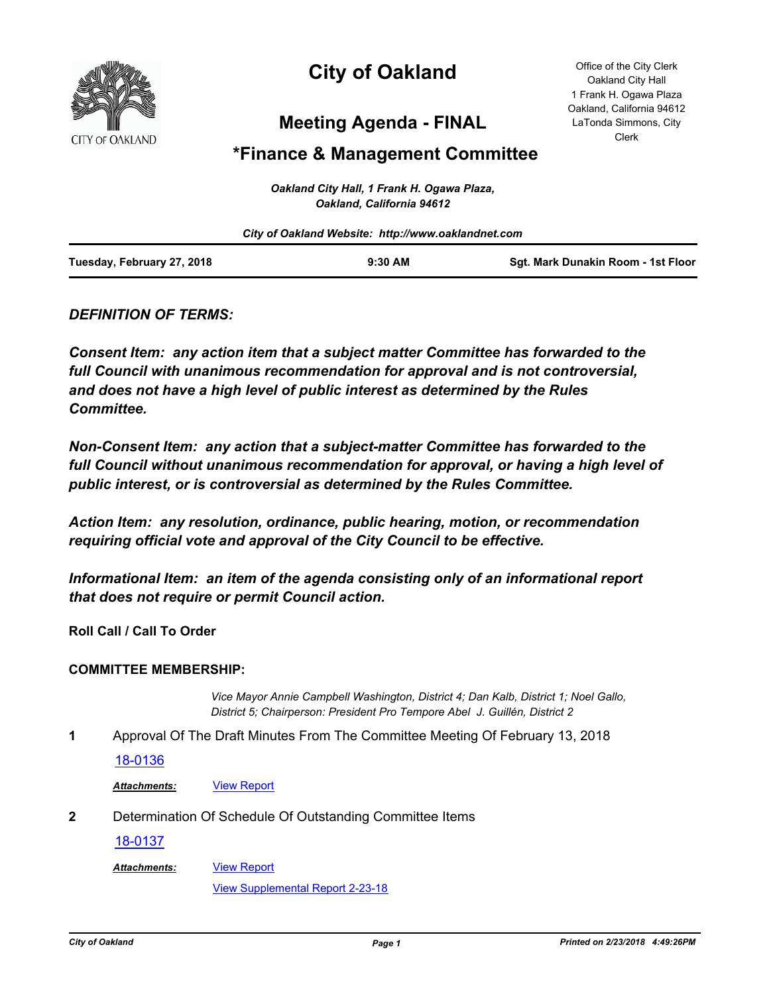

# **City of Oakland**

Office of the City Clerk Oakland City Hall 1 Frank H. Ogawa Plaza Oakland, California 94612 LaTonda Simmons, City Clerk

## **Meeting Agenda - FINAL**

## **\*Finance & Management Committee**

|                            | Oakland City Hall, 1 Frank H. Ogawa Plaza,<br>Oakland, California 94612 |                                    |
|----------------------------|-------------------------------------------------------------------------|------------------------------------|
|                            | City of Oakland Website: http://www.oaklandnet.com                      |                                    |
| Tuesday, February 27, 2018 | $9:30$ AM                                                               | Sqt. Mark Dunakin Room - 1st Floor |

### *DEFINITION OF TERMS:*

*Consent Item: any action item that a subject matter Committee has forwarded to the full Council with unanimous recommendation for approval and is not controversial, and does not have a high level of public interest as determined by the Rules Committee.*

*Non-Consent Item: any action that a subject-matter Committee has forwarded to the*  full Council without unanimous recommendation for approval, or having a high level of *public interest, or is controversial as determined by the Rules Committee.*

*Action Item: any resolution, ordinance, public hearing, motion, or recommendation requiring official vote and approval of the City Council to be effective.*

*Informational Item: an item of the agenda consisting only of an informational report that does not require or permit Council action.*

**Roll Call / Call To Order**

#### **COMMITTEE MEMBERSHIP:**

*Vice Mayor Annie Campbell Washington, District 4; Dan Kalb, District 1; Noel Gallo, District 5; Chairperson: President Pro Tempore Abel J. Guillén, District 2*

**1** Approval Of The Draft Minutes From The Committee Meeting Of February 13, 2018

#### [18-0136](http://oakland.legistar.com/gateway.aspx?m=l&id=/matter.aspx?key=28572)

Attachments: **[View Report](http://oakland.legistar.com/gateway.aspx?M=F&ID=97da82d1-a340-456c-ab02-610a8ebe46ee.pdf)** 

**2** Determination Of Schedule Of Outstanding Committee Items

#### [18-0137](http://oakland.legistar.com/gateway.aspx?m=l&id=/matter.aspx?key=28573)

[View Report](http://oakland.legistar.com/gateway.aspx?M=F&ID=f4981f68-b54a-42c1-a254-069d9eece134.pdf) *Attachments:*

[View Supplemental Report 2-23-18](http://oakland.legistar.com/gateway.aspx?M=F&ID=4424bacf-ff32-46d5-a56f-adee09669f45.pdf)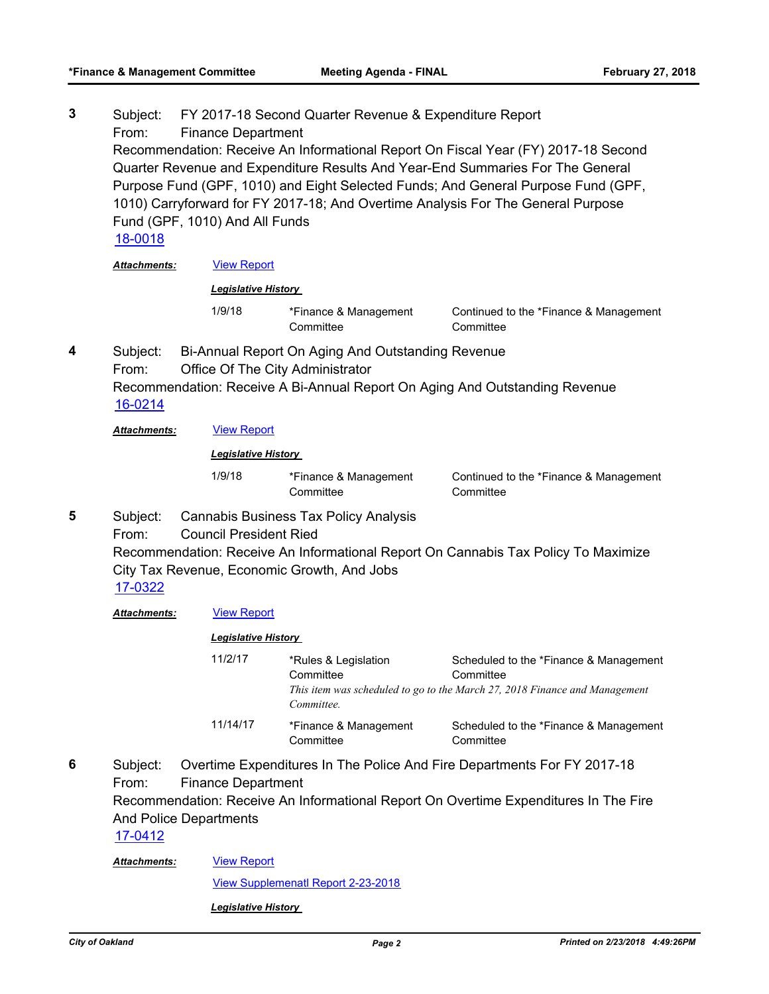| 3 | Subject:<br>From:                                                                                                                                                                                                                                                                                                                                                                          | FY 2017-18 Second Quarter Revenue & Expenditure Report<br><b>Finance Department</b>                                                                                                                                                                 |                                                 |                                                                                                                                   |  |  |
|---|--------------------------------------------------------------------------------------------------------------------------------------------------------------------------------------------------------------------------------------------------------------------------------------------------------------------------------------------------------------------------------------------|-----------------------------------------------------------------------------------------------------------------------------------------------------------------------------------------------------------------------------------------------------|-------------------------------------------------|-----------------------------------------------------------------------------------------------------------------------------------|--|--|
|   | Recommendation: Receive An Informational Report On Fiscal Year (FY) 2017-18 Second<br>Quarter Revenue and Expenditure Results And Year-End Summaries For The General<br>Purpose Fund (GPF, 1010) and Eight Selected Funds; And General Purpose Fund (GPF,<br>1010) Carryforward for FY 2017-18; And Overtime Analysis For The General Purpose<br>Fund (GPF, 1010) And All Funds<br>18-0018 |                                                                                                                                                                                                                                                     |                                                 |                                                                                                                                   |  |  |
|   | Attachments:                                                                                                                                                                                                                                                                                                                                                                               | <b>View Report</b>                                                                                                                                                                                                                                  |                                                 |                                                                                                                                   |  |  |
|   |                                                                                                                                                                                                                                                                                                                                                                                            | <b>Legislative History</b>                                                                                                                                                                                                                          |                                                 |                                                                                                                                   |  |  |
|   |                                                                                                                                                                                                                                                                                                                                                                                            | 1/9/18                                                                                                                                                                                                                                              | *Finance & Management<br>Committee              | Continued to the *Finance & Management<br>Committee                                                                               |  |  |
| 4 | Bi-Annual Report On Aging And Outstanding Revenue<br>Subject:<br>From:<br>Office Of The City Administrator<br>Recommendation: Receive A Bi-Annual Report On Aging And Outstanding Revenue<br>16-0214                                                                                                                                                                                       |                                                                                                                                                                                                                                                     |                                                 |                                                                                                                                   |  |  |
|   | Attachments:                                                                                                                                                                                                                                                                                                                                                                               | <b>View Report</b>                                                                                                                                                                                                                                  |                                                 |                                                                                                                                   |  |  |
|   |                                                                                                                                                                                                                                                                                                                                                                                            | <b>Legislative History</b>                                                                                                                                                                                                                          |                                                 |                                                                                                                                   |  |  |
|   |                                                                                                                                                                                                                                                                                                                                                                                            | 1/9/18                                                                                                                                                                                                                                              | *Finance & Management<br>Committee              | Continued to the *Finance & Management<br>Committee                                                                               |  |  |
| 5 | <b>Cannabis Business Tax Policy Analysis</b><br>Subject:<br><b>Council President Ried</b><br>From:<br>Recommendation: Receive An Informational Report On Cannabis Tax Policy To Maximize<br>City Tax Revenue, Economic Growth, And Jobs<br>17-0322                                                                                                                                         |                                                                                                                                                                                                                                                     |                                                 |                                                                                                                                   |  |  |
|   | Attachments:                                                                                                                                                                                                                                                                                                                                                                               | <b>View Report</b>                                                                                                                                                                                                                                  |                                                 |                                                                                                                                   |  |  |
|   |                                                                                                                                                                                                                                                                                                                                                                                            |                                                                                                                                                                                                                                                     | <b>Legislative History</b>                      |                                                                                                                                   |  |  |
|   |                                                                                                                                                                                                                                                                                                                                                                                            | 11/2/17                                                                                                                                                                                                                                             | *Rules & Legislation<br>Committee<br>Committee. | Scheduled to the *Finance & Management<br>Committee<br>This item was scheduled to go to the March 27, 2018 Finance and Management |  |  |
|   |                                                                                                                                                                                                                                                                                                                                                                                            | 11/14/17                                                                                                                                                                                                                                            | *Finance & Management<br>Committee              | Scheduled to the *Finance & Management<br>Committee                                                                               |  |  |
| 6 | Subject:<br>From:<br>17-0412<br>Attachments:                                                                                                                                                                                                                                                                                                                                               | Overtime Expenditures In The Police And Fire Departments For FY 2017-18<br><b>Finance Department</b><br>Recommendation: Receive An Informational Report On Overtime Expenditures In The Fire<br><b>And Police Departments</b><br><b>View Report</b> |                                                 |                                                                                                                                   |  |  |
|   |                                                                                                                                                                                                                                                                                                                                                                                            |                                                                                                                                                                                                                                                     |                                                 |                                                                                                                                   |  |  |

[View Supplemenatl Report 2-23-2018](http://oakland.legistar.com/gateway.aspx?M=F&ID=2815e139-b45a-493e-8160-6a3c9d059d91.pdf)

*Legislative History*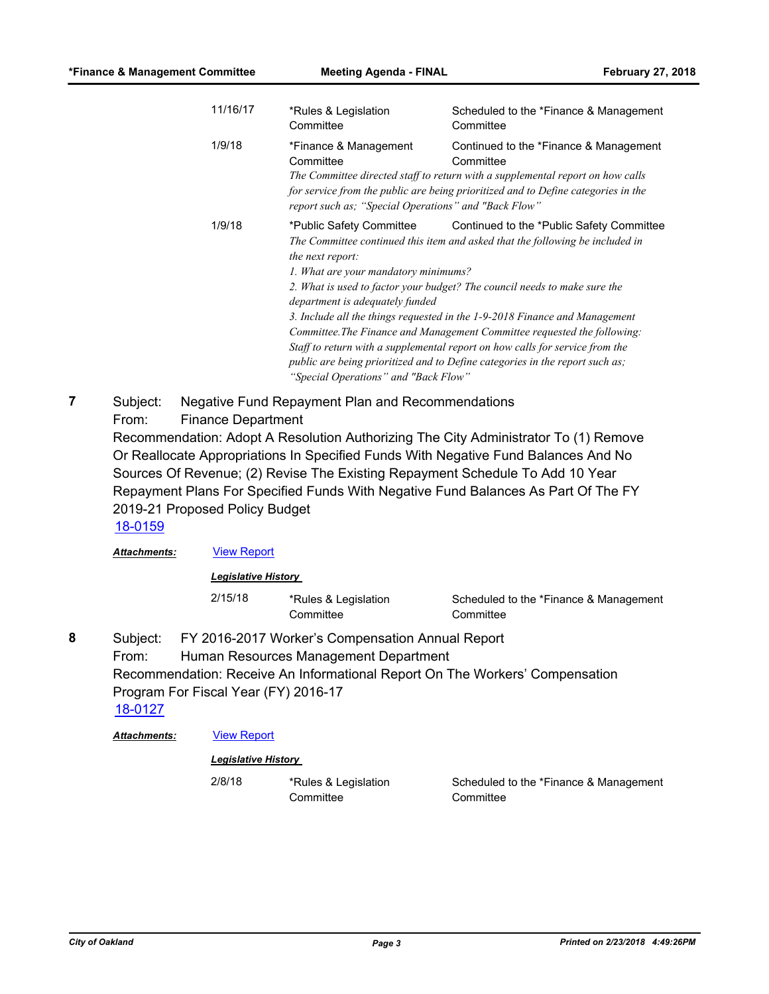| 11/16/17 | *Rules & Legislation<br>Committee                                                                                                                               | Scheduled to the *Finance & Management<br>Committee                                                                                                                                                                                                                                                                                                                                                                                                                                                                               |
|----------|-----------------------------------------------------------------------------------------------------------------------------------------------------------------|-----------------------------------------------------------------------------------------------------------------------------------------------------------------------------------------------------------------------------------------------------------------------------------------------------------------------------------------------------------------------------------------------------------------------------------------------------------------------------------------------------------------------------------|
| 1/9/18   | *Finance & Management<br>Committee<br>report such as; "Special Operations" and "Back Flow"                                                                      | Continued to the *Finance & Management<br>Committee<br>The Committee directed staff to return with a supplemental report on how calls<br>for service from the public are being prioritized and to Define categories in the                                                                                                                                                                                                                                                                                                        |
| 1/9/18   | *Public Safety Committee<br>the next report:<br>1. What are your mandatory minimums?<br>department is adequately funded<br>"Special Operations" and "Back Flow" | Continued to the *Public Safety Committee<br>The Committee continued this item and asked that the following be included in<br>2. What is used to factor your budget? The council needs to make sure the<br>3. Include all the things requested in the 1-9-2018 Finance and Management<br>Committee. The Finance and Management Committee requested the following:<br>Staff to return with a supplemental report on how calls for service from the<br>public are being prioritized and to Define categories in the report such as; |

Subject: Negative Fund Repayment Plan and Recommendations From: Finance Department Recommendation: Adopt A Resolution Authorizing The City Administrator To (1) Remove Or Reallocate Appropriations In Specified Funds With Negative Fund Balances And No Sources Of Revenue; (2) Revise The Existing Repayment Schedule To Add 10 Year Repayment Plans For Specified Funds With Negative Fund Balances As Part Of The FY 2019-21 Proposed Policy Budget **7** [18-0159](http://oakland.legistar.com/gateway.aspx?m=l&id=/matter.aspx?key=28595)

Attachments: **[View Report](http://oakland.legistar.com/gateway.aspx?M=F&ID=0a848a39-392b-4c3c-a5d8-718ccd52e079.pdf)** 

*Legislative History* 

2/15/18 \*Rules & Legislation **Committee** 

Scheduled to the \*Finance & Management **Committee** 

Subject: FY 2016-2017 Worker's Compensation Annual Report From: Human Resources Management Department Recommendation: Receive An Informational Report On The Workers' Compensation Program For Fiscal Year (FY) 2016-17 **8**

[18-0127](http://oakland.legistar.com/gateway.aspx?m=l&id=/matter.aspx?key=28563)

*Attachments:* [View Report](http://oakland.legistar.com/gateway.aspx?M=F&ID=d46dd25a-2473-440d-ae81-3b12b734578f.pdf)

#### *Legislative History*

2/8/18 \*Rules & Legislation Committee

Scheduled to the \*Finance & Management **Committee**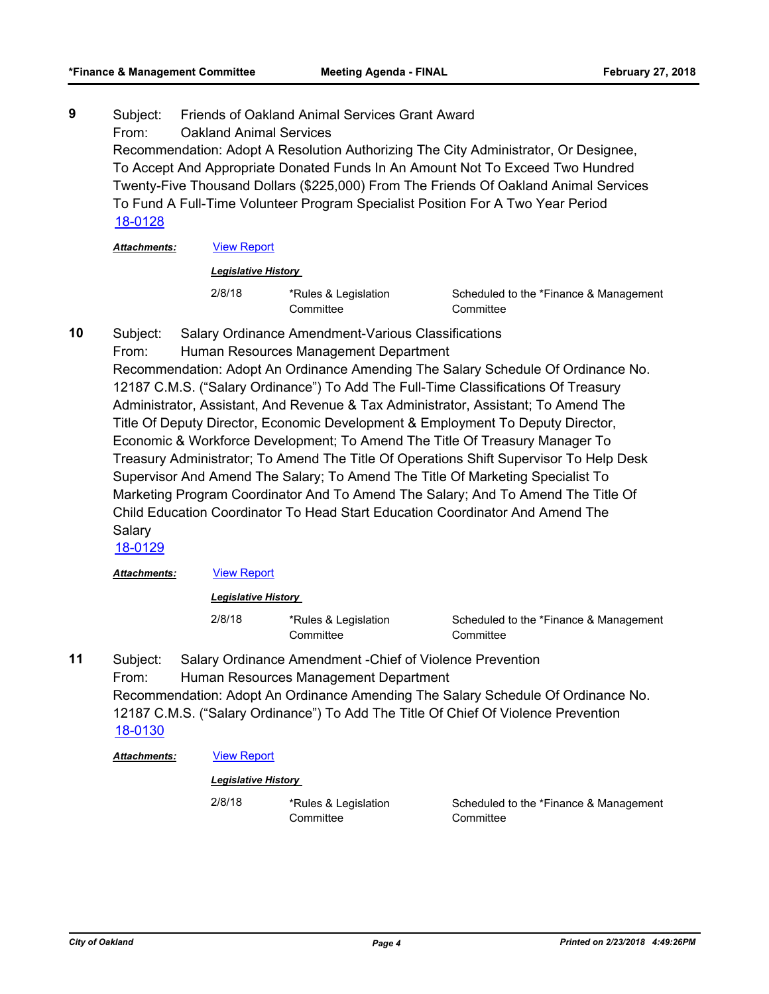Subject: Friends of Oakland Animal Services Grant Award From: Oakland Animal Services Recommendation: Adopt A Resolution Authorizing The City Administrator, Or Designee, To Accept And Appropriate Donated Funds In An Amount Not To Exceed Two Hundred Twenty-Five Thousand Dollars (\$225,000) From The Friends Of Oakland Animal Services To Fund A Full-Time Volunteer Program Specialist Position For A Two Year Period **9** [18-0128](http://oakland.legistar.com/gateway.aspx?m=l&id=/matter.aspx?key=28564)

*Attachments:* [View Report](http://oakland.legistar.com/gateway.aspx?M=F&ID=6efc1fcc-c5f6-40c6-aa3a-942e95f4d3b8.pdf)

#### *Legislative History*

2/8/18 \*Rules & Legislation **Committee** 

Scheduled to the \*Finance & Management **Committee** 

- Subject: Salary Ordinance Amendment-Various Classifications **10**
	- From: Human Resources Management Department

Recommendation: Adopt An Ordinance Amending The Salary Schedule Of Ordinance No. 12187 C.M.S. ("Salary Ordinance") To Add The Full-Time Classifications Of Treasury Administrator, Assistant, And Revenue & Tax Administrator, Assistant; To Amend The Title Of Deputy Director, Economic Development & Employment To Deputy Director, Economic & Workforce Development; To Amend The Title Of Treasury Manager To Treasury Administrator; To Amend The Title Of Operations Shift Supervisor To Help Desk Supervisor And Amend The Salary; To Amend The Title Of Marketing Specialist To Marketing Program Coordinator And To Amend The Salary; And To Amend The Title Of Child Education Coordinator To Head Start Education Coordinator And Amend The Salary

[18-0129](http://oakland.legistar.com/gateway.aspx?m=l&id=/matter.aspx?key=28565)

Attachments: **[View Report](http://oakland.legistar.com/gateway.aspx?M=F&ID=abb4fbd3-af20-44ed-9fe6-59059fd0c30a.pdf)** 

*Legislative History* 

2/8/18 \*Rules & Legislation **Committee** 

Scheduled to the \*Finance & Management **Committee** 

Subject: Salary Ordinance Amendment -Chief of Violence Prevention From: Human Resources Management Department Recommendation: Adopt An Ordinance Amending The Salary Schedule Of Ordinance No. 12187 C.M.S. ("Salary Ordinance") To Add The Title Of Chief Of Violence Prevention **11** [18-0130](http://oakland.legistar.com/gateway.aspx?m=l&id=/matter.aspx?key=28566)

#### Attachments: **[View Report](http://oakland.legistar.com/gateway.aspx?M=F&ID=80060582-5e13-4aa7-a2c8-44676feb78f5.pdf)**

#### *Legislative History*

2/8/18 \*Rules & Legislation **Committee** 

Scheduled to the \*Finance & Management **Committee**